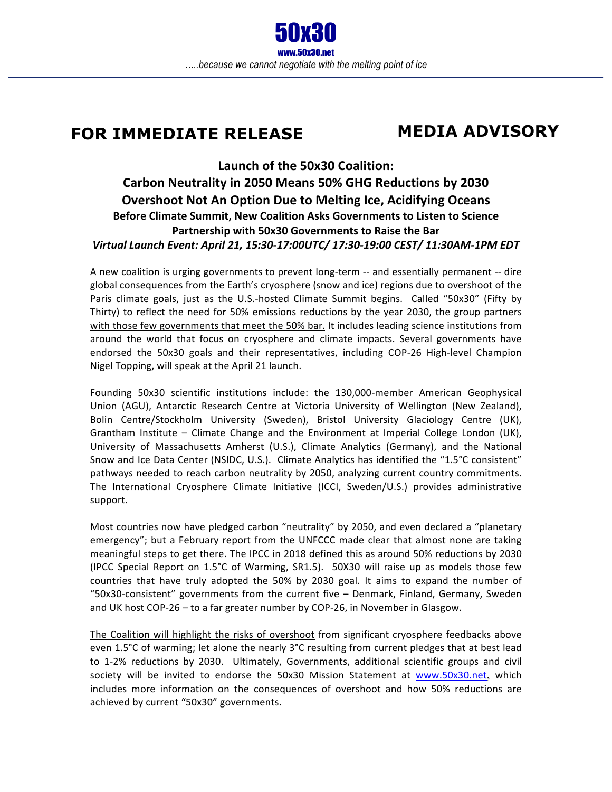## **FOR IMMEDIATE RELEASE**

## **MEDIA ADVISORY**

## Launch of the 50x30 Coalition: Carbon Neutrality in 2050 Means 50% GHG Reductions by 2030 **Overshoot Not An Option Due to Melting Ice, Acidifying Oceans Before Climate Summit, New Coalition Asks Governments to Listen to Science** Partnership with 50x30 Governments to Raise the Bar *Virtual Launch Event: April 21, 15:30-17:00UTC/ 17:30-19:00 CEST/ 11:30AM-1PM EDT*

A new coalition is urging governments to prevent long-term -- and essentially permanent -- dire global consequences from the Earth's cryosphere (snow and ice) regions due to overshoot of the Paris climate goals, just as the U.S.-hosted Climate Summit begins. Called "50x30" (Fifty by Thirty) to reflect the need for 50% emissions reductions by the year 2030, the group partners with those few governments that meet the 50% bar. It includes leading science institutions from around the world that focus on cryosphere and climate impacts. Several governments have endorsed the 50x30 goals and their representatives, including COP-26 High-level Champion Nigel Topping, will speak at the April 21 launch.

Founding 50x30 scientific institutions include: the 130,000-member American Geophysical Union (AGU), Antarctic Research Centre at Victoria University of Wellington (New Zealand), Bolin Centre/Stockholm University (Sweden), Bristol University Glaciology Centre (UK), Grantham Institute – Climate Change and the Environment at Imperial College London (UK), University of Massachusetts Amherst (U.S.), Climate Analytics (Germany), and the National Snow and Ice Data Center (NSIDC, U.S.). Climate Analytics has identified the "1.5°C consistent" pathways needed to reach carbon neutrality by 2050, analyzing current country commitments. The International Cryosphere Climate Initiative (ICCI, Sweden/U.S.) provides administrative support.

Most countries now have pledged carbon "neutrality" by 2050, and even declared a "planetary emergency"; but a February report from the UNFCCC made clear that almost none are taking meaningful steps to get there. The IPCC in 2018 defined this as around 50% reductions by 2030 (IPCC Special Report on  $1.5^{\circ}$ C of Warming, SR1.5). 50X30 will raise up as models those few countries that have truly adopted the 50% by 2030 goal. It aims to expand the number of  $"50x30$ -consistent" governments from the current five  $-$  Denmark, Finland, Germany, Sweden and UK host  $COP-26 -$  to a far greater number by  $COP-26$ , in November in Glasgow.

The Coalition will highlight the risks of overshoot from significant cryosphere feedbacks above even 1.5°C of warming; let alone the nearly 3°C resulting from current pledges that at best lead to 1-2% reductions by 2030. Ultimately, Governments, additional scientific groups and civil society will be invited to endorse the 50x30 Mission Statement at www.50x30.net, which includes more information on the consequences of overshoot and how 50% reductions are achieved by current "50x30" governments.